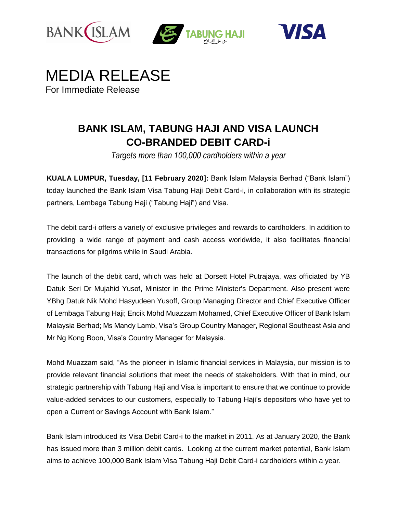







## **BANK ISLAM, TABUNG HAJI AND VISA LAUNCH CO-BRANDED DEBIT CARD-i**

*Targets more than 100,000 cardholders within a year*

**KUALA LUMPUR, Tuesday, [11 February 2020]:** Bank Islam Malaysia Berhad ("Bank Islam") today launched the Bank Islam Visa Tabung Haji Debit Card-i, in collaboration with its strategic partners, Lembaga Tabung Haji ("Tabung Haji") and Visa.

The debit card-i offers a variety of exclusive privileges and rewards to cardholders. In addition to providing a wide range of payment and cash access worldwide, it also facilitates financial transactions for pilgrims while in Saudi Arabia.

The launch of the debit card, which was held at Dorsett Hotel Putrajaya, was officiated by YB Datuk Seri Dr Mujahid Yusof, Minister in the Prime Minister's Department. Also present were YBhg Datuk Nik Mohd Hasyudeen Yusoff, Group Managing Director and Chief Executive Officer of Lembaga Tabung Haji; Encik Mohd Muazzam Mohamed, Chief Executive Officer of Bank Islam Malaysia Berhad; Ms Mandy Lamb, Visa's Group Country Manager, Regional Southeast Asia and Mr Ng Kong Boon, Visa's Country Manager for Malaysia.

Mohd Muazzam said, "As the pioneer in Islamic financial services in Malaysia, our mission is to provide relevant financial solutions that meet the needs of stakeholders. With that in mind, our strategic partnership with Tabung Haji and Visa is important to ensure that we continue to provide value-added services to our customers, especially to Tabung Haji's depositors who have yet to open a Current or Savings Account with Bank Islam."

Bank Islam introduced its Visa Debit Card-i to the market in 2011. As at January 2020, the Bank has issued more than 3 million debit cards. Looking at the current market potential, Bank Islam aims to achieve 100,000 Bank Islam Visa Tabung Haji Debit Card-i cardholders within a year.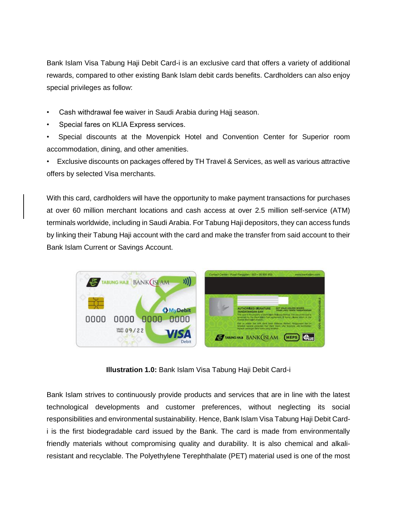Bank Islam Visa Tabung Haji Debit Card-i is an exclusive card that offers a variety of additional rewards, compared to other existing Bank Islam debit cards benefits. Cardholders can also enjoy special privileges as follow:

- Cash withdrawal fee waiver in Saudi Arabia during Hajj season.
- Special fares on KLIA Express services.
- Special discounts at the Movenpick Hotel and Convention Center for Superior room accommodation, dining, and other amenities.

• Exclusive discounts on packages offered by TH Travel & Services, as well as various attractive offers by selected Visa merchants.

With this card, cardholders will have the opportunity to make payment transactions for purchases at over 60 million merchant locations and cash access at over 2.5 million self-service (ATM) terminals worldwide, including in Saudi Arabia. For Tabung Haji depositors, they can access funds by linking their Tabung Haji account with the card and make the transfer from said account to their Bank Islam Current or Savings Account.



**Illustration 1.0:** Bank Islam Visa Tabung Haji Debit Card-i

Bank Islam strives to continuously provide products and services that are in line with the latest technological developments and customer preferences, without neglecting its social responsibilities and environmental sustainability. Hence, Bank Islam Visa Tabung Haji Debit Cardi is the first biodegradable card issued by the Bank. The card is made from environmentally friendly materials without compromising quality and durability. It is also chemical and alkaliresistant and recyclable. The Polyethylene Terephthalate (PET) material used is one of the most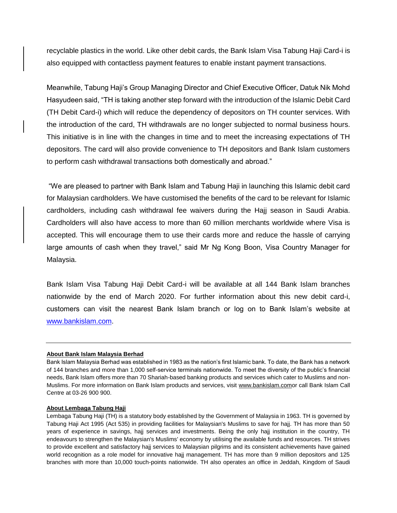recyclable plastics in the world. Like other debit cards, the Bank Islam Visa Tabung Haji Card-i is also equipped with contactless payment features to enable instant payment transactions.

Meanwhile, Tabung Haji's Group Managing Director and Chief Executive Officer, Datuk Nik Mohd Hasyudeen said, "TH is taking another step forward with the introduction of the Islamic Debit Card (TH Debit Card-i) which will reduce the dependency of depositors on TH counter services. With the introduction of the card, TH withdrawals are no longer subjected to normal business hours. This initiative is in line with the changes in time and to meet the increasing expectations of TH depositors. The card will also provide convenience to TH depositors and Bank Islam customers to perform cash withdrawal transactions both domestically and abroad."

"We are pleased to partner with Bank Islam and Tabung Haji in launching this Islamic debit card for Malaysian cardholders. We have customised the benefits of the card to be relevant for Islamic cardholders, including cash withdrawal fee waivers during the Hajj season in Saudi Arabia. Cardholders will also have access to more than 60 million merchants worldwide where Visa is accepted. This will encourage them to use their cards more and reduce the hassle of carrying large amounts of cash when they travel," said Mr Ng Kong Boon, Visa Country Manager for Malaysia.

Bank Islam Visa Tabung Haji Debit Card-i will be available at all 144 Bank Islam branches nationwide by the end of March 2020. For further information about this new debit card-i, customers can visit the nearest Bank Islam branch or log on to Bank Islam's website at [www.bankislam.com.](http://www.bankislam.com/)

## **About Bank Islam Malaysia Berhad**

Bank Islam Malaysia Berhad was established in 1983 as the nation's first Islamic bank. To date, the Bank has a network of 144 branches and more than 1,000 self-service terminals nationwide. To meet the diversity of the public's financial needs, Bank Islam offers more than 70 Shariah-based banking products and services which cater to Muslims and non-Muslims. For more information on Bank Islam products and services, visit [www.bankislam.como](http://www.bankislam.com/)r call Bank Islam Call Centre at 03-26 900 900.

## **About Lembaga Tabung Haji**

Lembaga Tabung Haji (TH) is a statutory body established by the Government of Malaysia in 1963. TH is governed by Tabung Haji Act 1995 (Act 535) in providing facilities for Malaysian's Muslims to save for hajj. TH has more than 50 years of experience in savings, hajj services and investments. Being the only hajj institution in the country, TH endeavours to strengthen the Malaysian's Muslims' economy by utilising the available funds and resources. TH strives to provide excellent and satisfactory hajj services to Malaysian pilgrims and its consistent achievements have gained world recognition as a role model for innovative hajj management. TH has more than 9 million depositors and 125 branches with more than 10,000 touch-points nationwide. TH also operates an office in Jeddah, Kingdom of Saudi